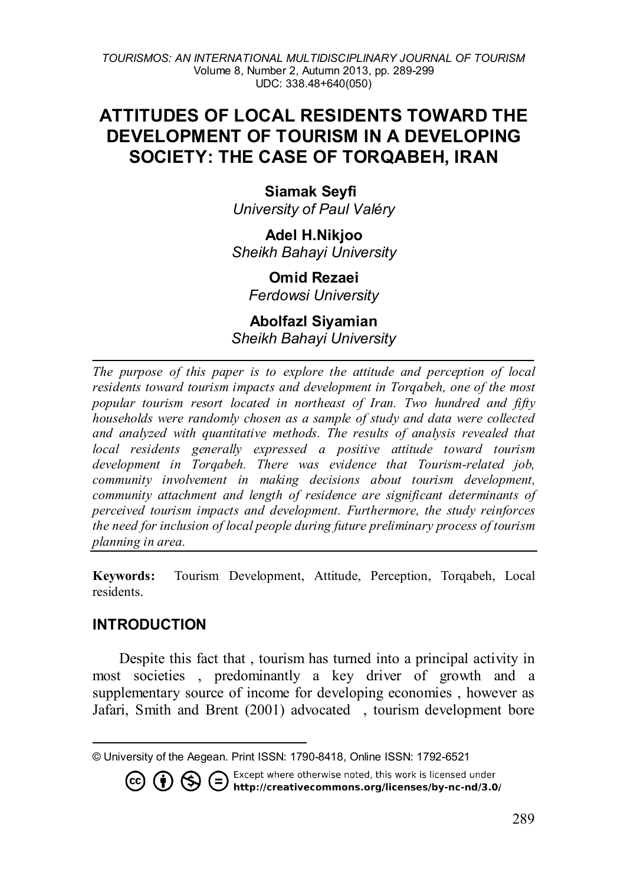# **ATTITUDES OF LOCAL RESIDENTS TOWARD THE DEVELOPMENT OF TOURISM IN A DEVELOPING SOCIETY: THE CASE OF TORQABEH, IRAN**

**Siamak Seyfi[1](#page-0-0)** *University of Paul Valéry*

**Adel H.Nikjoo** *Sheikh Bahayi University*

**Omid Rezaei** *Ferdowsi University*

#### **Abolfazl Siyamian** *Sheikh Bahayi University*

*The purpose of this paper is to explore the attitude and perception of local residents toward tourism impacts and development in Torqabeh, one of the most popular tourism resort located in northeast of Iran. Two hundred and fifty households were randomly chosen as a sample of study and data were collected and analyzed with quantitative methods. The results of analysis revealed that local residents generally expressed a positive attitude toward tourism development in Torqabeh. There was evidence that Tourism-related job, community involvement in making decisions about tourism development, community attachment and length of residence are significant determinants of perceived tourism impacts and development. Furthermore, the study reinforces the need for inclusion of local people during future preliminary process of tourism planning in area.*

**Keywords:** Tourism Development, Attitude, Perception, Torqabeh, Local residents.

## **INTRODUCTION**

(cc)

Despite this fact that , tourism has turned into a principal activity in most societies , predominantly a key driver of growth and a supplementary source of income for developing economies , however as Jafari, Smith and Brent (2001) advocated , tourism development bore

Except where otherwise noted, this work is licensed under  $(=\)$ ۲\$ / http://creativecommons.org/licenses/by-nc-nd/3.0/

<span id="page-0-0"></span>l © University of the Aegean. Print ISSN: 1790-8418, Online ISSN: 1792-6521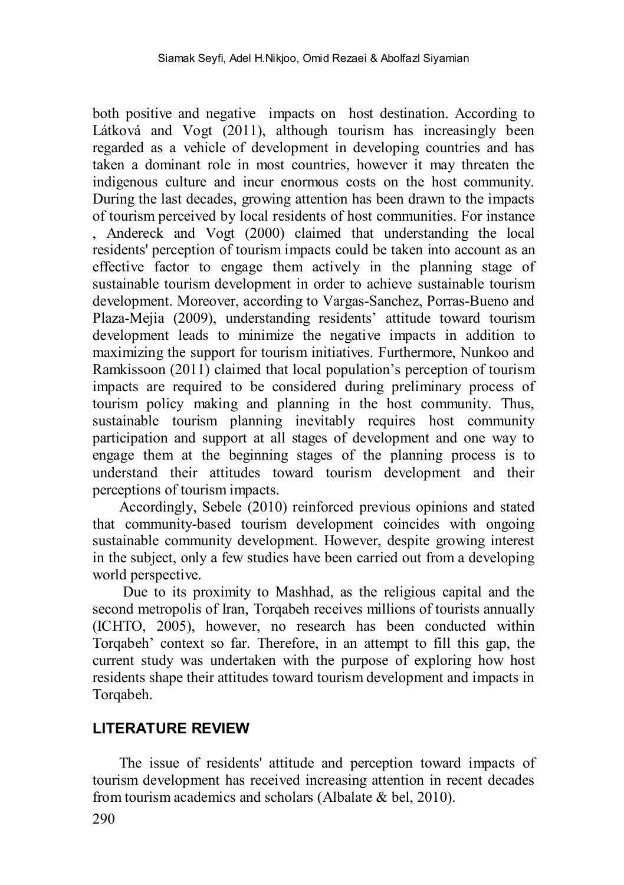both positive and negative impacts on host destination. According to Látková and Vogt (2011), although tourism has increasingly been regarded as a vehicle of development in developing countries and has taken a dominant role in most countries, however it may threaten the indigenous culture and incur enormous costs on the host community. During the last decades, growing attention has been drawn to the impacts of tourism perceived by local residents of host communities. For instance , Andereck and Vogt (2000) claimed that understanding the local residents' perception of tourism impacts could be taken into account as an effective factor to engage them actively in the planning stage of sustainable tourism development in order to achieve sustainable tourism development. Moreover, according to Vargas-Sanchez, Porras-Bueno and Plaza-Mejia (2009), understanding residents' attitude toward tourism development leads to minimize the negative impacts in addition to maximizing the support for tourism initiatives. Furthermore, Nunkoo and Ramkissoon (2011) claimed that local population's perception of tourism impacts are required to be considered during preliminary process of tourism policy making and planning in the host community. Thus, sustainable tourism planning inevitably requires host community participation and support at all stages of development and one way to engage them at the beginning stages of the planning process is to understand their attitudes toward tourism development and their perceptions of tourism impacts.

Accordingly, Sebele (2010) reinforced previous opinions and stated that community-based tourism development coincides with ongoing sustainable community development. However, despite growing interest in the subject, only a few studies have been carried out from a developing world perspective.

Due to its proximity to Mashhad, as the religious capital and the second metropolis of Iran, Torqabeh receives millions of tourists annually (ICHTO, 2005), however, no research has been conducted within Torqabeh' context so far. Therefore, in an attempt to fill this gap, the current study was undertaken with the purpose of exploring how host residents shape their attitudes toward tourism development and impacts in Torqabeh.

#### **LITERATURE REVIEW**

The issue of residents' attitude and perception toward impacts of tourism development has received increasing attention in recent decades from tourism academics and scholars (Albalate & bel, 2010).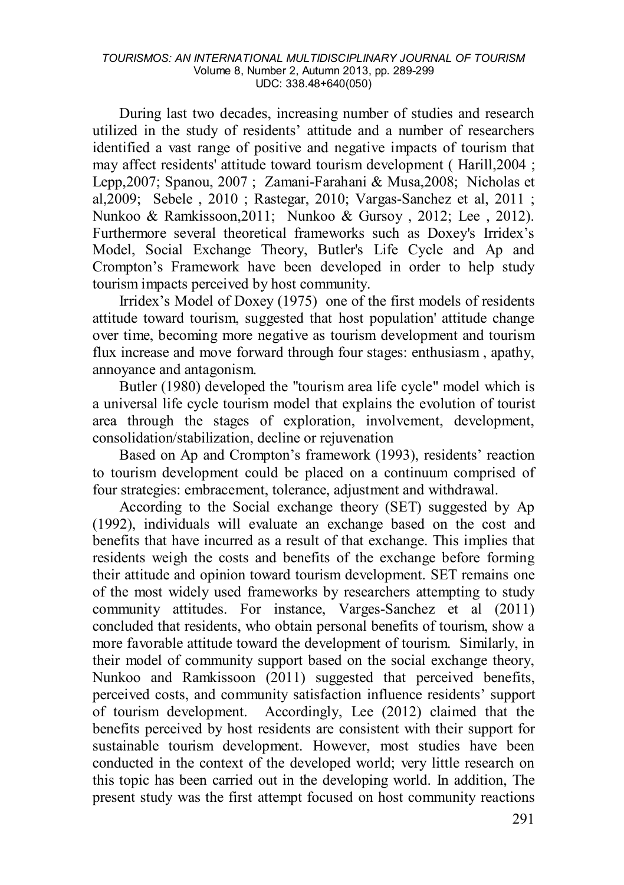During last two decades, increasing number of studies and research utilized in the study of residents' attitude and a number of researchers identified a vast range of positive and negative impacts of tourism that may affect residents' attitude toward tourism development ( Harill,2004 ; Lepp,2007; Spanou, 2007 ; Zamani-Farahani & Musa,2008; Nicholas et al,2009; Sebele , 2010 ; Rastegar, 2010; Vargas-Sanchez et al, 2011 ; Nunkoo & Ramkissoon,2011; Nunkoo & Gursoy , 2012; Lee , 2012). Furthermore several theoretical frameworks such as Doxey's Irridex's Model, Social Exchange Theory, Butler's Life Cycle and Ap and Crompton's Framework have been developed in order to help study tourism impacts perceived by host community.

Irridex's Model of Doxey (1975) one of the first models of residents attitude toward tourism, suggested that host population' attitude change over time, becoming more negative as tourism development and tourism flux increase and move forward through four stages: enthusiasm , apathy, annoyance and antagonism.

Butler (1980) developed the "tourism area life cycle" model which is a universal life cycle tourism model that explains the evolution of tourist area through the stages of exploration, involvement, development, consolidation/stabilization, decline or rejuvenation

Based on Ap and Crompton's framework (1993), residents' reaction to tourism development could be placed on a continuum comprised of four strategies: embracement, tolerance, adjustment and withdrawal.

According to the Social exchange theory (SET) suggested by Ap (1992), individuals will evaluate an exchange based on the cost and benefits that have incurred as a result of that exchange. This implies that residents weigh the costs and benefits of the exchange before forming their attitude and opinion toward tourism development. SET remains one of the most widely used frameworks by researchers attempting to study community attitudes. For instance, Varges-Sanchez et al (2011) concluded that residents, who obtain personal benefits of tourism, show a more favorable attitude toward the development of tourism. Similarly, in their model of community support based on the social exchange theory, Nunkoo and Ramkissoon (2011) suggested that perceived benefits, perceived costs, and community satisfaction influence residents' support of tourism development. Accordingly, Lee (2012) claimed that the benefits perceived by host residents are consistent with their support for sustainable tourism development. However, most studies have been conducted in the context of the developed world; very little research on this topic has been carried out in the developing world. In addition, The present study was the first attempt focused on host community reactions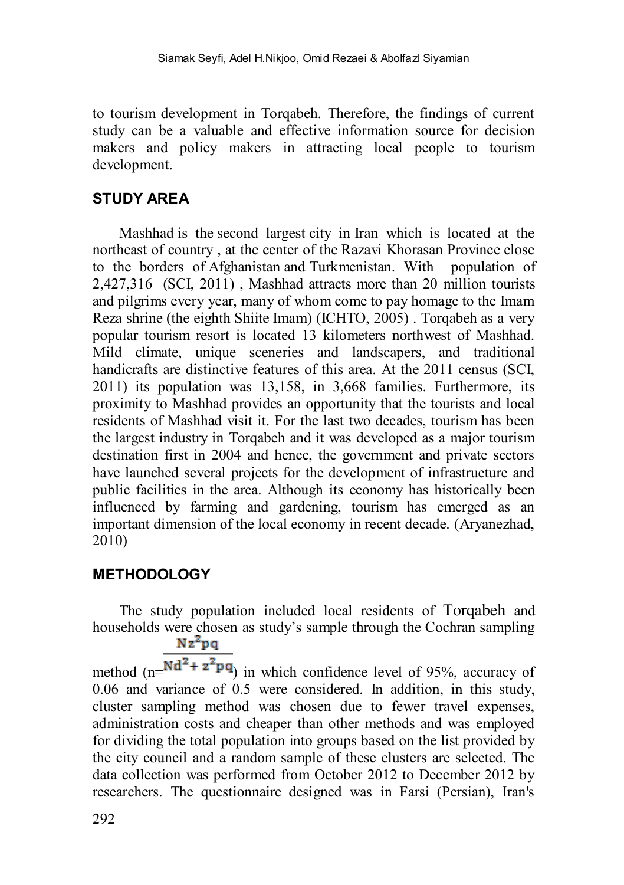to tourism development in Torqabeh. Therefore, the findings of current study can be a valuable and effective information source for decision makers and policy makers in attracting local people to tourism development.

### **STUDY AREA**

Mashhad is the [second largest](http://en.wikipedia.org/wiki/List_of_Iranian_cities_by_population) city in [Iran](http://en.wikipedia.org/wiki/Iran) which is located at the northeast of country , at the center of the [Razavi Khorasan Province](http://en.wikipedia.org/wiki/Razavi_Khorasan_Province) close to the borders of [Afghanistan](http://en.wikipedia.org/wiki/Afghanistan) and [Turkmenistan.](http://en.wikipedia.org/wiki/Turkmenistan) With population of 2,427,316 (SCI, 2011) , Mashhad attracts more than 20 million tourists and pilgrims every year, many of whom come to pay homage to the [Imam](http://en.wikipedia.org/wiki/Imam_Reza_shrine)  [Reza shrine](http://en.wikipedia.org/wiki/Imam_Reza_shrine) (the eighth [Shiite](http://en.wikipedia.org/wiki/Shi%27ite) Imam) (ICHTO, 2005) . Torqabeh as a very popular tourism resort is located 13 kilometers northwest of Mashhad. Mild climate, unique sceneries and landscapers, and traditional handicrafts are distinctive features of this area. At the 2011 census (SCI, 2011) its population was 13,158, in 3,668 families. Furthermore, its proximity to Mashhad provides an opportunity that the tourists and local residents of Mashhad visit it. For the last two decades, tourism has been the largest industry in Torqabeh and it was developed as a major tourism destination first in 2004 and hence, the government and private sectors have launched several projects for the development of infrastructure and public facilities in the area. Although its economy has historically been influenced by farming and gardening, tourism has emerged as an important dimension of the local economy in recent decade. (Aryanezhad, 2010)

#### **METHODOLOGY**

The study population included local residents of Torqabeh and households were chosen as study's sample through the Cochran sampling  $Nz^2pq$ 

method  $(n=Nd^2 + z^2pq)$  in which confidence level of 95%, accuracy of 0.06 and variance of 0.5 were considered. In addition, in this study, cluster sampling method was chosen due to fewer travel expenses, administration costs and cheaper than other methods and was employed for dividing the total population into groups based on the list provided by the city council and a random sample of these clusters are selected. The data collection was performed from October 2012 to December 2012 by researchers. The questionnaire designed was in Farsi (Persian), Iran's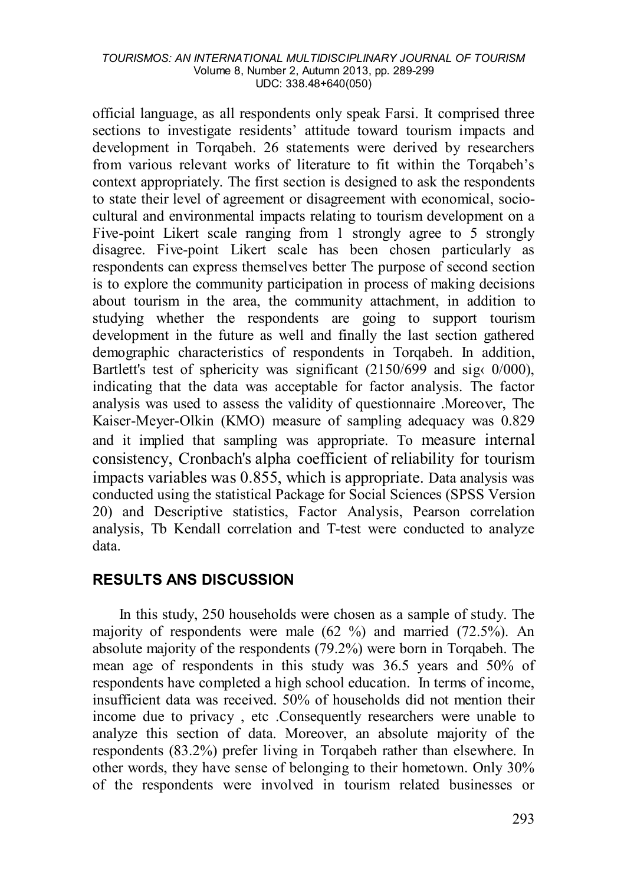official language, as all respondents only speak Farsi. It comprised three sections to investigate residents' attitude toward tourism impacts and development in Torqabeh. 26 statements were derived by researchers from various relevant works of literature to fit within the Torqabeh's context appropriately. The first section is designed to ask the respondents to state their level of agreement or disagreement with economical, sociocultural and environmental impacts relating to tourism development on a Five-point Likert scale ranging from 1 strongly agree to 5 strongly disagree. Five-point Likert scale has been chosen particularly as respondents can express themselves better The purpose of second section is to explore the community participation in process of making decisions about tourism in the area, the community attachment, in addition to studying whether the respondents are going to support tourism development in the future as well and finally the last section gathered demographic characteristics of respondents in Torqabeh. In addition, Bartlett's test of sphericity was significant  $(2150/699)$  and sig $\langle 0/000 \rangle$ , indicating that the data was acceptable for factor analysis. The factor analysis was used to assess the validity of questionnaire .Moreover, The Kaiser-Meyer-Olkin (KMO) measure of sampling adequacy was 0.829 and it implied that sampling was appropriate. To measure [internal](http://en.wikipedia.org/wiki/Internal_consistency)  [consistency,](http://en.wikipedia.org/wiki/Internal_consistency) Cronbach's alpha coefficient of [reliability](http://en.wikipedia.org/wiki/Reliability_(statistics)) for tourism impacts variables was 0.855, which is appropriate. Data analysis was conducted using the statistical Package for Social Sciences (SPSS Version 20) and Descriptive statistics, Factor Analysis, Pearson correlation analysis, Tb Kendall correlation and T-test were conducted to analyze data.

## **RESULTS ANS DISCUSSION**

In this study, 250 households were chosen as a sample of study. The majority of respondents were male (62 %) and married (72.5%). An absolute majority of the respondents (79.2%) were born in Torqabeh. The mean age of respondents in this study was 36.5 years and 50% of respondents have completed a high school education. In terms of income, insufficient data was received. 50% of households did not mention their income due to privacy , etc .Consequently researchers were unable to analyze this section of data. Moreover, an absolute majority of the respondents (83.2%) prefer living in Torqabeh rather than elsewhere. In other words, they have sense of belonging to their hometown. Only 30% of the respondents were involved in tourism related businesses or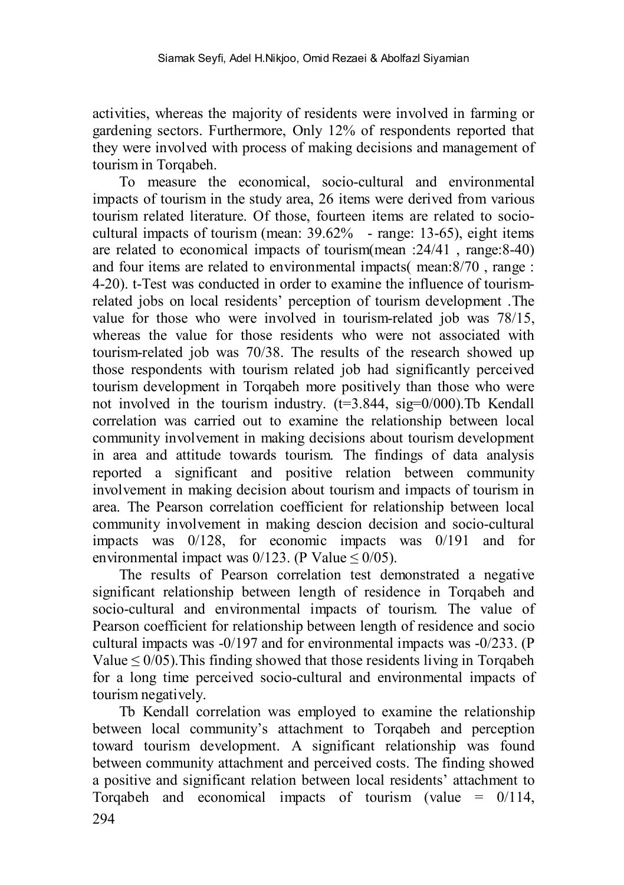activities, whereas the majority of residents were involved in farming or gardening sectors. Furthermore, Only 12% of respondents reported that they were involved with process of making decisions and management of tourism in Torqabeh.

To measure the economical, socio-cultural and environmental impacts of tourism in the study area, 26 items were derived from various tourism related literature. Of those, fourteen items are related to sociocultural impacts of tourism (mean: 39.62% - range: 13-65), eight items are related to economical impacts of tourism(mean :24/41 , range:8-40) and four items are related to environmental impacts( mean:8/70 , range : 4-20). t-Test was conducted in order to examine the influence of tourismrelated jobs on local residents' perception of tourism development .The value for those who were involved in tourism-related job was 78/15, whereas the value for those residents who were not associated with tourism-related job was 70/38. The results of the research showed up those respondents with tourism related job had significantly perceived tourism development in Torqabeh more positively than those who were not involved in the tourism industry.  $(t=3.844, \text{sig}=0/000)$ . To Kendall correlation was carried out to examine the relationship between local community involvement in making decisions about tourism development in area and attitude towards tourism. The findings of data analysis reported a significant and positive relation between community involvement in making decision about tourism and impacts of tourism in area. The Pearson correlation coefficient for relationship between local community involvement in making descion decision and socio-cultural impacts was 0/128, for economic impacts was 0/191 and for environmental impact was  $0/123$ . (P Value  $\leq 0/05$ ).

The results of Pearson correlation test demonstrated a negative significant relationship between length of residence in Torqabeh and socio-cultural and environmental impacts of tourism. The value of Pearson coefficient for relationship between length of residence and socio cultural impacts was -0/197 and for environmental impacts was -0/233. (P Value  $\leq 0/05$ ). This finding showed that those residents living in Torqabeh for a long time perceived socio-cultural and environmental impacts of tourism negatively.

Tb Kendall correlation was employed to examine the relationship between local community's attachment to Torqabeh and perception toward tourism development. A significant relationship was found between community attachment and perceived costs. The finding showed a positive and significant relation between local residents' attachment to Torqabeh and economical impacts of tourism (value =  $0/114$ ,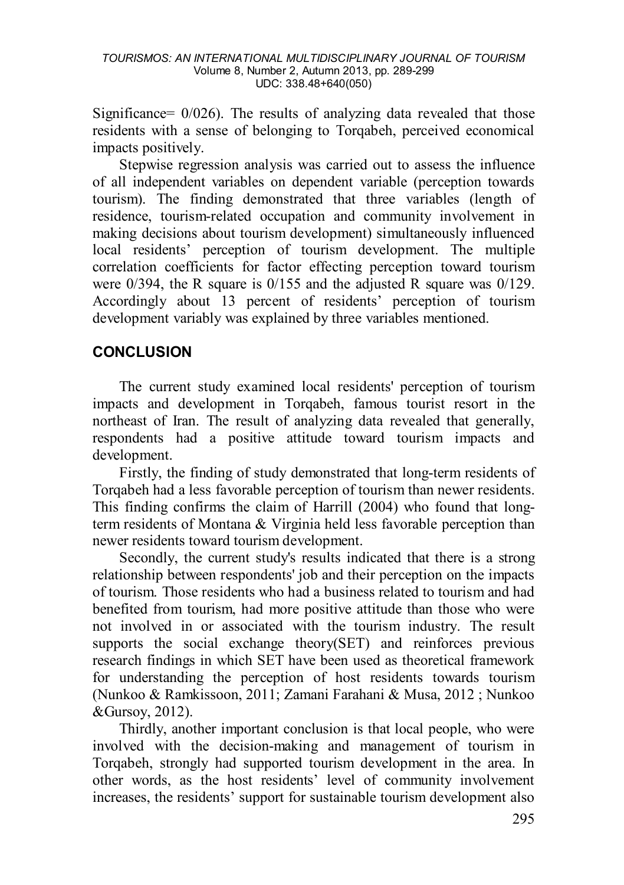Significance= 0/026). The results of analyzing data revealed that those residents with a sense of belonging to Torqabeh, perceived economical impacts positively.

Stepwise regression analysis was carried out to assess the influence of all independent variables on dependent variable (perception towards tourism). The finding demonstrated that three variables (length of residence, tourism-related occupation and community involvement in making decisions about tourism development) simultaneously influenced local residents' perception of tourism development. The multiple correlation coefficients for factor effecting perception toward tourism were 0/394, the R square is 0/155 and the adjusted R square was 0/129. Accordingly about 13 percent of residents' perception of tourism development variably was explained by three variables mentioned.

### **CONCLUSION**

The current study examined local residents' perception of tourism impacts and development in Torqabeh, famous tourist resort in the northeast of Iran. The result of analyzing data revealed that generally, respondents had a positive attitude toward tourism impacts and development.

Firstly, the finding of study demonstrated that long-term residents of Torqabeh had a less favorable perception of tourism than newer residents. This finding confirms the claim of Harrill (2004) who found that longterm residents of Montana & Virginia held less favorable perception than newer residents toward tourism development.

Secondly, the current study's results indicated that there is a strong relationship between respondents' job and their perception on the impacts of tourism. Those residents who had a business related to tourism and had benefited from tourism, had more positive attitude than those who were not involved in or associated with the tourism industry. The result supports the social exchange theory(SET) and reinforces previous research findings in which SET have been used as theoretical framework for understanding the perception of host residents towards tourism (Nunkoo & Ramkissoon, 2011; Zamani Farahani & Musa, 2012 ; Nunkoo &Gursoy, 2012).

Thirdly, another important conclusion is that local people, who were involved with the decision-making and management of tourism in Torqabeh, strongly had supported tourism development in the area. In other words, as the host residents' level of community involvement increases, the residents' support for sustainable tourism development also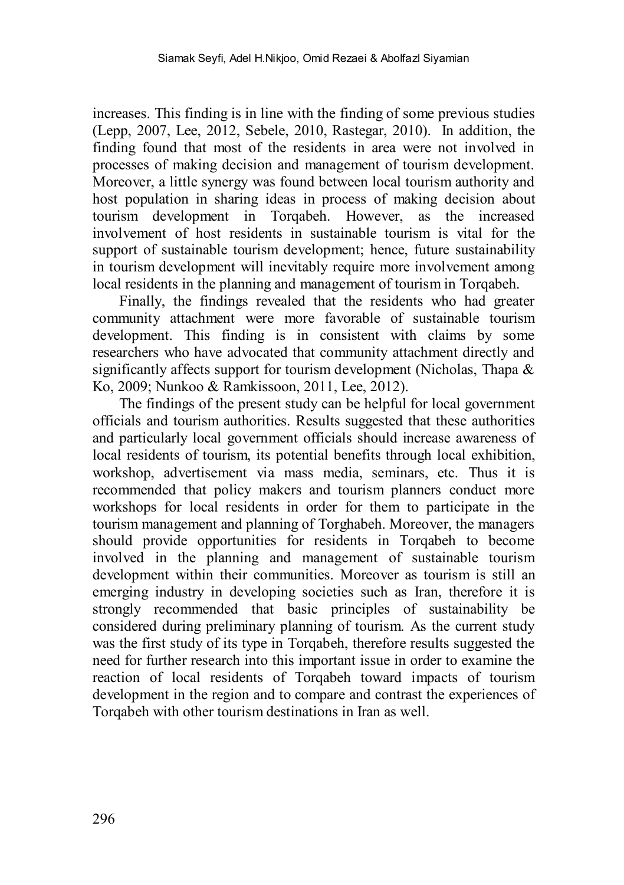increases. This finding is in line with the finding of some previous studies (Lepp, 2007, Lee, 2012, Sebele, 2010, Rastegar, 2010). In addition, the finding found that most of the residents in area were not involved in processes of making decision and management of tourism development. Moreover, a little synergy was found between local tourism authority and host population in sharing ideas in process of making decision about tourism development in Torqabeh. However, as the increased involvement of host residents in sustainable tourism is vital for the support of sustainable tourism development; hence, future sustainability in tourism development will inevitably require more involvement among local residents in the planning and management of tourism in Torqabeh.

Finally, the findings revealed that the residents who had greater community attachment were more favorable of sustainable tourism development. This finding is in consistent with claims by some researchers who have advocated that community attachment directly and significantly affects support for tourism development (Nicholas, Thapa & Ko, 2009; Nunkoo & Ramkissoon, 2011, Lee, 2012).

The findings of the present study can be helpful for local government officials and tourism authorities. Results suggested that these authorities and particularly local government officials should increase awareness of local residents of tourism, its potential benefits through local exhibition, workshop, advertisement via mass media, seminars, etc. Thus it is recommended that policy makers and tourism planners conduct more workshops for local residents in order for them to participate in the tourism management and planning of Torghabeh. Moreover, the managers should provide opportunities for residents in Torqabeh to become involved in the planning and management of sustainable tourism development within their communities. Moreover as tourism is still an emerging industry in developing societies such as Iran, therefore it is strongly recommended that basic principles of sustainability be considered during preliminary planning of tourism. As the current study was the first study of its type in Torqabeh, therefore results suggested the need for further research into this important issue in order to examine the reaction of local residents of Torqabeh toward impacts of tourism development in the region and to compare and contrast the experiences of Torqabeh with other tourism destinations in Iran as well.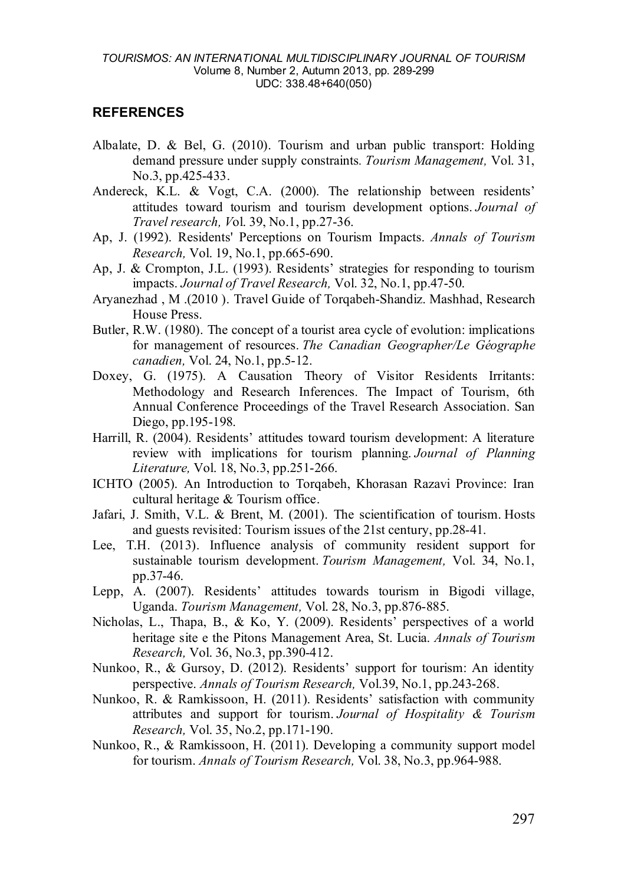#### **REFERENCES**

- Albalate, D. & Bel, G. (2010). Tourism and urban public transport: Holding demand pressure under supply constraints*. Tourism Management,* Vol. 31, No.3, pp.425-433.
- Andereck, K.L. & Vogt, C.A. (2000). The relationship between residents' attitudes toward tourism and tourism development options. *Journal of Travel research, V*ol. 39, No.1, pp.27-36.
- Ap, J. (1992). Residents' Perceptions on Tourism Impacts. *Annals of Tourism Research,* Vol. 19, No.1, pp.665-690.
- Ap, J. & Crompton, J.L. (1993). Residents' strategies for responding to tourism impacts. *Journal of Travel Research,* Vol. 32, No.1, pp.47-50.
- Aryanezhad , M .(2010 ). Travel Guide of Torqabeh-Shandiz. Mashhad, Research House Press.
- Butler, R.W. (1980). The concept of a tourist area cycle of evolution: implications for management of resources. *The Canadian Geographer/Le Géographe canadien,* Vol. 24, No.1, pp.5-12.
- Doxey, G. (1975). A Causation Theory of Visitor Residents Irritants: Methodology and Research Inferences. The Impact of Tourism, 6th Annual Conference Proceedings of the Travel Research Association. San Diego, pp.195-198.
- Harrill, R. (2004). Residents' attitudes toward tourism development: A literature review with implications for tourism planning. *Journal of Planning Literature,* Vol. 18, No.3, pp.251-266.
- ICHTO (2005). An Introduction to Torqabeh, Khorasan Razavi Province: Iran cultural heritage & Tourism office.
- Jafari, J. Smith, V.L. & Brent, M. (2001). The scientification of tourism. Hosts and guests revisited: Tourism issues of the 21st century, pp.28-41.
- Lee, T.H. (2013). Influence analysis of community resident support for sustainable tourism development. *Tourism Management,* Vol. 34, No.1, pp.37-46.
- Lepp, A. (2007). Residents' attitudes towards tourism in Bigodi village, Uganda. *Tourism Management,* Vol. 28, No.3, pp.876-885.
- Nicholas, L., Thapa, B., & Ko, Y. (2009). Residents' perspectives of a world heritage site e the Pitons Management Area, St. Lucia. *Annals of Tourism Research,* Vol. 36, No.3, pp.390-412.
- Nunkoo, R., & Gursoy, D. (2012). Residents' support for tourism: An identity perspective. *Annals of Tourism Research,* Vol.39, No.1, pp.243-268.
- Nunkoo, R. & Ramkissoon, H. (2011). Residents' satisfaction with community attributes and support for tourism. *Journal of Hospitality & Tourism Research,* Vol. 35, No.2, pp.171-190.
- Nunkoo, R., & Ramkissoon, H. (2011). Developing a community support model for tourism. *Annals of Tourism Research,* Vol. 38, No.3, pp.964-988.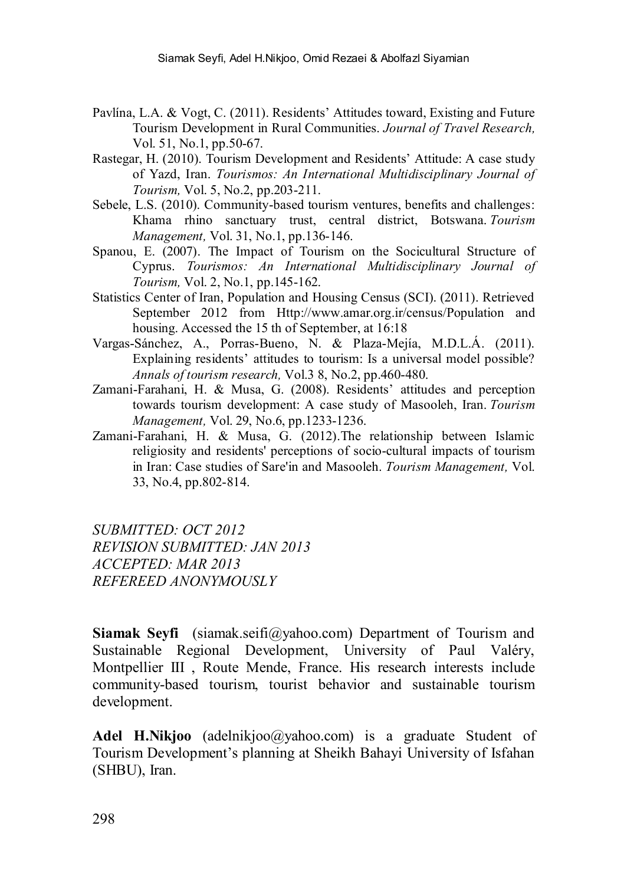- Pavlína, L.A. & Vogt, C. (2011). Residents' Attitudes toward, Existing and Future Tourism Development in Rural Communities. *Journal of Travel Research,* Vol. 51, No.1, pp.50-67.
- Rastegar, H. (2010). Tourism Development and Residents' Attitude: A case study of Yazd, Iran. *Tourismos: An International Multidisciplinary Journal of Tourism,* Vol. 5, No.2, pp.203-211.
- Sebele, L.S. (2010). Community-based tourism ventures, benefits and challenges: Khama rhino sanctuary trust, central district, Botswana. *Tourism Management,* Vol. 31, No.1, pp.136-146.
- Spanou, E. (2007). The Impact of Tourism on the Socicultural Structure of Cyprus. *Tourismos: An International Multidisciplinary Journal of Tourism,* Vol. 2, No.1, pp.145-162.
- Statistics Center of Iran, Population and Housing Census (SCI). (2011). Retrieved September 2012 from *[Http://www.amar.org.ir/census/Population](http://www.amar.org.ir/census/Population)* and housing. Accessed the 15 th of September, at 16:18
- Vargas-Sánchez, A., Porras-Bueno, N. & Plaza-Mejía, M.D.L.Á. (2011). Explaining residents' attitudes to tourism: Is a universal model possible? *Annals of tourism research,* Vol.3 8, No.2, pp.460-480.
- Zamani-Farahani, H. & Musa, G. (2008). Residents' attitudes and perception towards tourism development: A case study of Masooleh, Iran. *Tourism Management,* Vol. 29, No.6, pp.1233-1236.
- Zamani-Farahani, H. & Musa, G. (2012).The relationship between Islamic religiosity and residents' perceptions of socio-cultural impacts of tourism in Iran: Case studies of Sare'in and Masooleh. *Tourism Management,* Vol. 33, No.4, pp.802-814.

*SUBMITTED: OCT 2012 REVISION SUBMITTED: JAN 2013 ACCEPTED: MAR 2013 REFEREED ANONYMOUSLY*

**Siamak Seyfi** ([siamak.seifi@yahoo.com](mailto:siamak.seifi@yahoo.com)) Department of Tourism and Sustainable Regional Development, University of Paul Valéry, Montpellier III , Route Mende, France. His research interests include community-based tourism, tourist behavior and sustainable tourism development.

Adel H.Nikioo (adelnikioo@yahoo.com) is a graduate Student of Tourism Development's planning at Sheikh Bahayi University of Isfahan (SHBU), Iran.